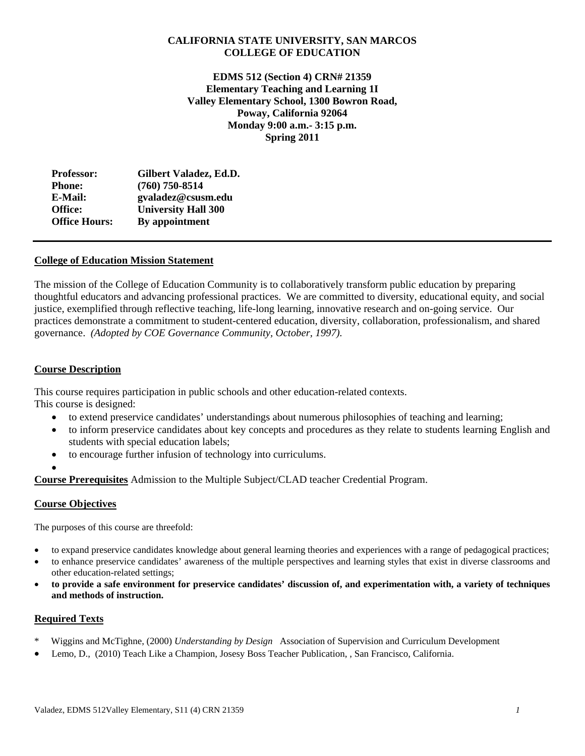# **CALIFORNIA STATE UNIVERSITY, SAN MARCOS COLLEGE OF EDUCATION**

 **Monday 9:00 a.m.- 3:15 p.m. EDMS 512 (Section 4) CRN# 21359 Elementary Teaching and Learning 1I Valley Elementary School, 1300 Bowron Road, Poway, California 92064 Spring 2011**

| Gilbert Valadez, Ed.D.     |
|----------------------------|
| $(760)$ 750-8514           |
| gvaladez@csusm.edu         |
| <b>University Hall 300</b> |
| By appointment             |
|                            |

# **College of Education Mission Statement**

The mission of the College of Education Community is to collaboratively transform public education by preparing thoughtful educators and advancing professional practices. We are committed to diversity, educational equity, and social justice, exemplified through reflective teaching, life-long learning, innovative research and on-going service. Our practices demonstrate a commitment to student-centered education, diversity, collaboration, professionalism, and shared governance. *(Adopted by COE Governance Community, October, 1997).* 

## **Course Description**

This course requires participation in public schools and other education-related contexts. This course is designed:

- to extend preservice candidates' understandings about numerous philosophies of teaching and learning;
- to inform preservice candidates about key concepts and procedures as they relate to students learning English and students with special education labels;
- to encourage further infusion of technology into curriculums.
- $\bullet$

**Course Prerequisites** Admission to the Multiple Subject/CLAD teacher Credential Program.

### **Course Objectives**

The purposes of this course are threefold:

- to expand preservice candidates knowledge about general learning theories and experiences with a range of pedagogical practices;
- to enhance preservice candidates' awareness of the multiple perspectives and learning styles that exist in diverse classrooms and other education-related settings;
- **to provide a safe environment for preservice candidates' discussion of, and experimentation with, a variety of techniques and methods of instruction.**

### **Required Texts**

- \* Wiggins and McTighne, (2000) *Understanding by Design* Association of Supervision and Curriculum Development
- Lemo, D., (2010) Teach Like a Champion, Josesy Boss Teacher Publication, , San Francisco, California.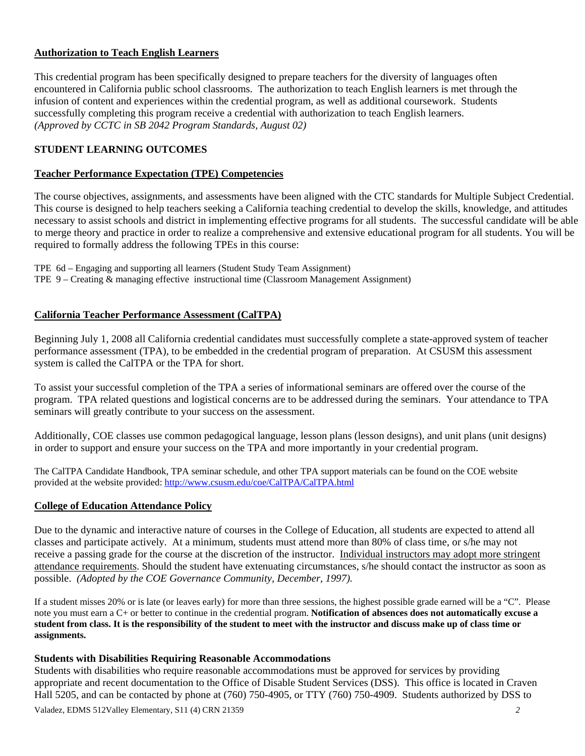# **Authorization to Teach English Learners**

This credential program has been specifically designed to prepare teachers for the diversity of languages often encountered in California public school classrooms. The authorization to teach English learners is met through the infusion of content and experiences within the credential program, as well as additional coursework. Students successfully completing this program receive a credential with authorization to teach English learners. *(Approved by CCTC in SB 2042 Program Standards, August 02)* 

# **STUDENT LEARNING OUTCOMES**

# **Teacher Performance Expectation (TPE) Competencies**

The course objectives, assignments, and assessments have been aligned with the CTC standards for Multiple Subject Credential. This course is designed to help teachers seeking a California teaching credential to develop the skills, knowledge, and attitudes necessary to assist schools and district in implementing effective programs for all students. The successful candidate will be able to merge theory and practice in order to realize a comprehensive and extensive educational program for all students. You will be required to formally address the following TPEs in this course:

 TPE 6d – Engaging and supporting all learners (Student Study Team Assignment) TPE 9 – Creating & managing effective instructional time (Classroom Management Assignment)

# **California Teacher Performance Assessment (CalTPA)**

Beginning July 1, 2008 all California credential candidates must successfully complete a state-approved system of teacher performance assessment (TPA), to be embedded in the credential program of preparation. At CSUSM this assessment system is called the CalTPA or the TPA for short.

seminars will greatly contribute to your success on the assessment. To assist your successful completion of the TPA a series of informational seminars are offered over the course of the program. TPA related questions and logistical concerns are to be addressed during the seminars. Your attendance to TPA

Additionally, COE classes use common pedagogical language, lesson plans (lesson designs), and unit plans (unit designs) in order to support and ensure your success on the TPA and more importantly in your credential program.

The CalTPA Candidate Handbook, TPA seminar schedule, and other TPA support materials can be found on the COE website provided at the website provided: http://www.csusm.edu/coe/CalTPA/CalTPA.html

# **College of Education Attendance Policy**

 possible. *(Adopted by the COE Governance Community, December, 1997).* Due to the dynamic and interactive nature of courses in the College of Education, all students are expected to attend all classes and participate actively. At a minimum, students must attend more than 80% of class time, or s/he may not receive a passing grade for the course at the discretion of the instructor. Individual instructors may adopt more stringent attendance requirements. Should the student have extenuating circumstances, s/he should contact the instructor as soon as

 If a student misses 20% or is late (or leaves early) for more than three sessions, the highest possible grade earned will be a "C". Please note you must earn a C+ or better to continue in the credential program. **Notification of absences does not automatically excuse a student from class. It is the responsibility of the student to meet with the instructor and discuss make up of class time or assignments.** 

# **Students with Disabilities Requiring Reasonable Accommodations**

Students with disabilities who require reasonable accommodations must be approved for services by providing appropriate and recent documentation to the Office of Disable Student Services (DSS). This office is located in Craven Hall 5205, and can be contacted by phone at (760) 750-4905, or TTY (760) 750-4909. Students authorized by DSS to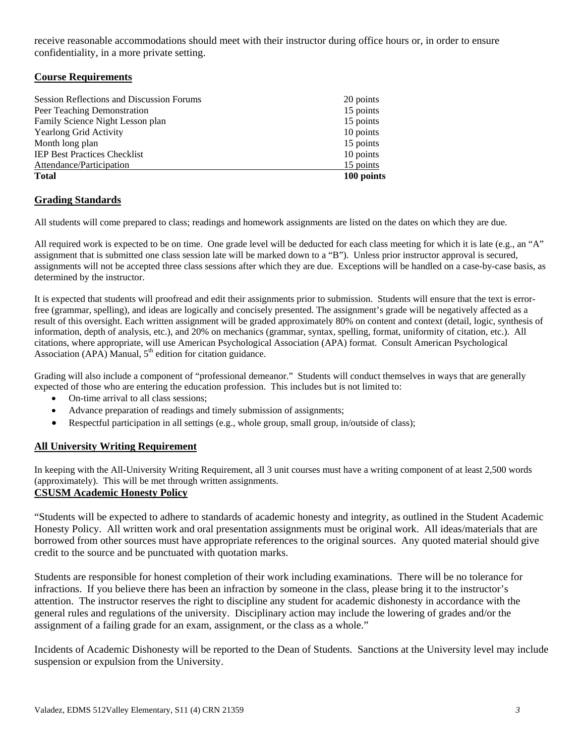receive reasonable accommodations should meet with their instructor during office hours or, in order to ensure confidentiality, in a more private setting.

# **Course Requirements**

| <b>Session Reflections and Discussion Forums</b> | 20 points  |
|--------------------------------------------------|------------|
| Peer Teaching Demonstration                      | 15 points  |
| Family Science Night Lesson plan                 | 15 points  |
| <b>Yearlong Grid Activity</b>                    | 10 points  |
| Month long plan                                  | 15 points  |
| <b>IEP Best Practices Checklist</b>              | 10 points  |
| Attendance/Participation                         | 15 points  |
| <b>Total</b>                                     | 100 points |

# **Grading Standards**

All students will come prepared to class; readings and homework assignments are listed on the dates on which they are due.

All required work is expected to be on time. One grade level will be deducted for each class meeting for which it is late (e.g., an "A" assignment that is submitted one class session late will be marked down to a "B"). Unless prior instructor approval is secured, assignments will not be accepted three class sessions after which they are due. Exceptions will be handled on a case-by-case basis, as determined by the instructor.

 It is expected that students will proofread and edit their assignments prior to submission. Students will ensure that the text is error- information, depth of analysis, etc.), and 20% on mechanics (grammar, syntax, spelling, format, uniformity of citation, etc.). All free (grammar, spelling), and ideas are logically and concisely presented. The assignment's grade will be negatively affected as a result of this oversight. Each written assignment will be graded approximately 80% on content and context (detail, logic, synthesis of citations, where appropriate, will use American Psychological Association (APA) format. Consult American Psychological Association (APA) Manual,  $5<sup>th</sup>$  edition for citation guidance.

Grading will also include a component of "professional demeanor." Students will conduct themselves in ways that are generally expected of those who are entering the education profession. This includes but is not limited to:

- On-time arrival to all class sessions:
- Advance preparation of readings and timely submission of assignments;
- Respectful participation in all settings (e.g., whole group, small group, in/outside of class);

# **All University Writing Requirement**

 (approximately). This will be met through written assignments. In keeping with the All-University Writing Requirement, all 3 unit courses must have a writing component of at least 2,500 words

# **CSUSM Academic Honesty Policy**

"Students will be expected to adhere to standards of academic honesty and integrity, as outlined in the Student Academic Honesty Policy. All written work and oral presentation assignments must be original work. All ideas/materials that are borrowed from other sources must have appropriate references to the original sources. Any quoted material should give credit to the source and be punctuated with quotation marks.

Students are responsible for honest completion of their work including examinations. There will be no tolerance for infractions. If you believe there has been an infraction by someone in the class, please bring it to the instructor's attention. The instructor reserves the right to discipline any student for academic dishonesty in accordance with the general rules and regulations of the university. Disciplinary action may include the lowering of grades and/or the assignment of a failing grade for an exam, assignment, or the class as a whole."

Incidents of Academic Dishonesty will be reported to the Dean of Students. Sanctions at the University level may include suspension or expulsion from the University.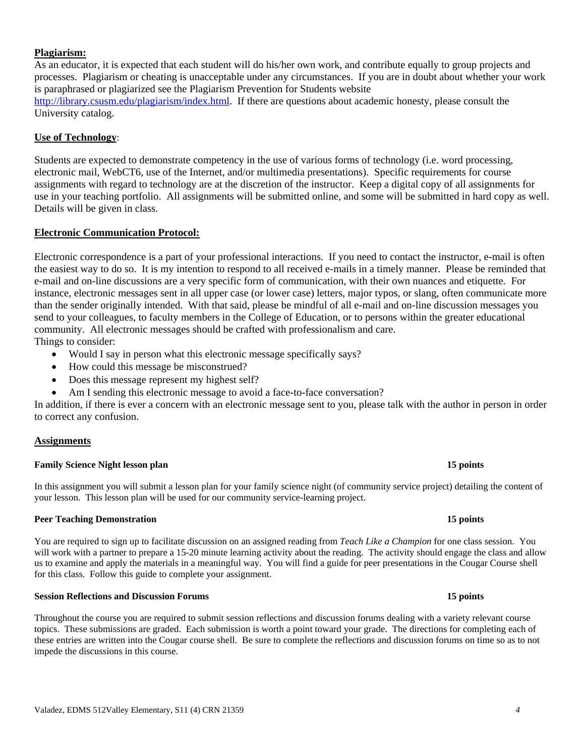#### Valadez, EDMS 512Valley Elementary, S11 (4) CRN 21359 *4*

### **Plagiarism:**

As an educator, it is expected that each student will do his/her own work, and contribute equally to group projects and processes. Plagiarism or cheating is unacceptable under any circumstances. If you are in doubt about whether your work is paraphrased or plagiarized see the Plagiarism Prevention for Students website http://library.csusm.edu/plagiarism/index.html. If there are questions about academic honesty, please consult the University catalog.

#### **Use of Technology**:

Students are expected to demonstrate competency in the use of various forms of technology (i.e. word processing, electronic mail, WebCT6, use of the Internet, and/or multimedia presentations). Specific requirements for course assignments with regard to technology are at the discretion of the instructor. Keep a digital copy of all assignments for use in your teaching portfolio. All assignments will be submitted online, and some will be submitted in hard copy as well. Details will be given in class.

#### **Electronic Communication Protocol:**

Electronic correspondence is a part of your professional interactions. If you need to contact the instructor, e-mail is often the easiest way to do so. It is my intention to respond to all received e-mails in a timely manner. Please be reminded that e-mail and on-line discussions are a very specific form of communication, with their own nuances and etiquette. For instance, electronic messages sent in all upper case (or lower case) letters, major typos, or slang, often communicate more than the sender originally intended. With that said, please be mindful of all e-mail and on-line discussion messages you send to your colleagues, to faculty members in the College of Education, or to persons within the greater educational community. All electronic messages should be crafted with professionalism and care.

Things to consider:

- Would I say in person what this electronic message specifically says?
- How could this message be misconstrued?
- Does this message represent my highest self?
- Am I sending this electronic message to avoid a face-to-face conversation?

In addition, if there is ever a concern with an electronic message sent to you, please talk with the author in person in order to correct any confusion.

### **Assignments**

#### **Family Science Night lesson plan 15 points 15 points 15 points**

 your lesson. This lesson plan will be used for our community service-learning project. In this assignment you will submit a lesson plan for your family science night (of community service project) detailing the content of

### **Peer Teaching Demonstration 15 points 15 points 15 points**

 You are required to sign up to facilitate discussion on an assigned reading from *Teach Like a Champion* for one class session. You will work with a partner to prepare a 15-20 minute learning activity about the reading. The activity should engage the class and allow us to examine and apply the materials in a meaningful way. You will find a guide for peer presentations in the Cougar Course shell for this class. Follow this guide to complete your assignment.

# **Session Reflections and Discussion Forums 15 points**

 these entries are written into the Cougar course shell. Be sure to complete the reflections and discussion forums on time so as to not Throughout the course you are required to submit session reflections and discussion forums dealing with a variety relevant course topics. These submissions are graded. Each submission is worth a point toward your grade. The directions for completing each of impede the discussions in this course.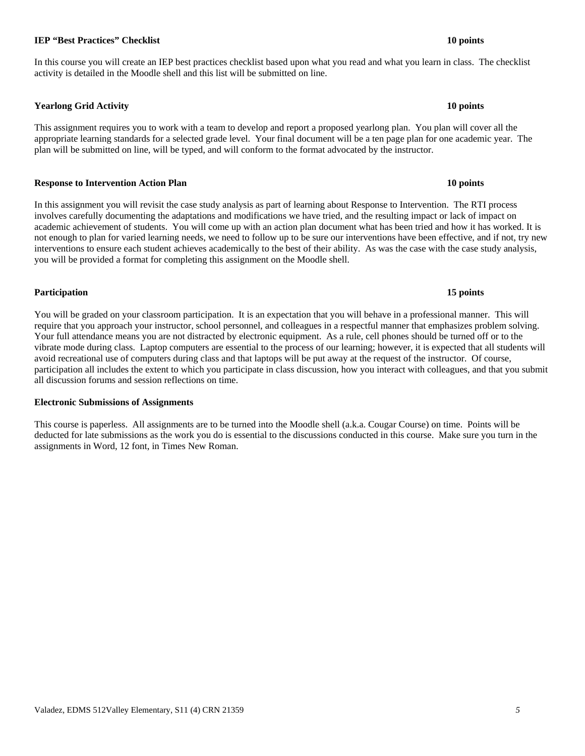# Valadez, EDMS 512Valley Elementary, S11 (4) CRN 21359 *5*

# **IEP "Best Practices" Checklist** 10 points **10 points 10 points**

# In this course you will create an IEP best practices checklist based upon what you read and what you learn in class. The checklist activity is detailed in the Moodle shell and this list will be submitted on line.

 **Yearlong Grid Activity 10 points** 

This assignment requires you to work with a team to develop and report a proposed yearlong plan. You plan will cover all the appropriate learning standards for a selected grade level. Your final document will be a ten page plan for one academic year. The plan will be submitted on line, will be typed, and will conform to the format advocated by the instructor.

#### **Response to Intervention Action Plan 10 points 10 points 10 points in the U.S. 10 points in the U.S. 10 points in the U.S. 10 points in the U.S. 10 points in the U.S. 10 points in the U.S. 10 points in the U.S. 10 points**

 you will be provided a format for completing this assignment on the Moodle shell. In this assignment you will revisit the case study analysis as part of learning about Response to Intervention. The RTI process involves carefully documenting the adaptations and modifications we have tried, and the resulting impact or lack of impact on academic achievement of students. You will come up with an action plan document what has been tried and how it has worked. It is not enough to plan for varied learning needs, we need to follow up to be sure our interventions have been effective, and if not, try new interventions to ensure each student achieves academically to the best of their ability. As was the case with the case study analysis,

### **Participation 15 points**

 You will be graded on your classroom participation. It is an expectation that you will behave in a professional manner. This will require that you approach your instructor, school personnel, and colleagues in a respectful manner that emphasizes problem solving. participation all includes the extent to which you participate in class discussion, how you interact with colleagues, and that you submit Your full attendance means you are not distracted by electronic equipment. As a rule, cell phones should be turned off or to the vibrate mode during class. Laptop computers are essential to the process of our learning; however, it is expected that all students will avoid recreational use of computers during class and that laptops will be put away at the request of the instructor. Of course, all discussion forums and session reflections on time.

### **Electronic Submissions of Assignments**

 assignments in Word, 12 font, in Times New Roman. This course is paperless. All assignments are to be turned into the Moodle shell (a.k.a. Cougar Course) on time. Points will be deducted for late submissions as the work you do is essential to the discussions conducted in this course. Make sure you turn in the

#### 15 points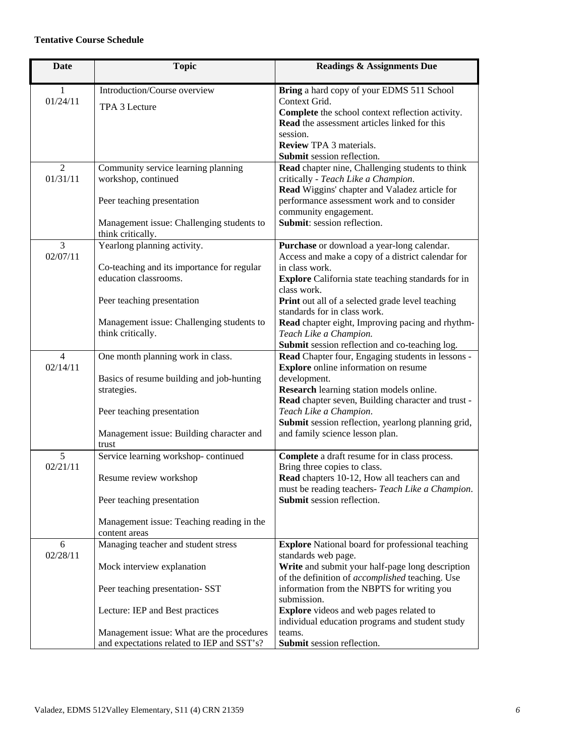## **Tentative Course Schedule**

| <b>Date</b>                | <b>Topic</b>                                                                                                                                                                                                                       | <b>Readings &amp; Assignments Due</b>                                                                                                                                                                                                                                                                                                                                                           |
|----------------------------|------------------------------------------------------------------------------------------------------------------------------------------------------------------------------------------------------------------------------------|-------------------------------------------------------------------------------------------------------------------------------------------------------------------------------------------------------------------------------------------------------------------------------------------------------------------------------------------------------------------------------------------------|
| 1<br>01/24/11              | Introduction/Course overview<br>TPA 3 Lecture                                                                                                                                                                                      | Bring a hard copy of your EDMS 511 School<br>Context Grid.<br>Complete the school context reflection activity.<br>Read the assessment articles linked for this<br>session.<br><b>Review TPA 3 materials.</b><br>Submit session reflection.                                                                                                                                                      |
| 2<br>01/31/11              | Community service learning planning<br>workshop, continued<br>Peer teaching presentation<br>Management issue: Challenging students to<br>think critically.                                                                         | Read chapter nine, Challenging students to think<br>critically - Teach Like a Champion.<br>Read Wiggins' chapter and Valadez article for<br>performance assessment work and to consider<br>community engagement.<br>Submit: session reflection.                                                                                                                                                 |
| $\overline{3}$<br>02/07/11 | Yearlong planning activity.<br>Co-teaching and its importance for regular<br>education classrooms.<br>Peer teaching presentation<br>Management issue: Challenging students to<br>think critically.                                 | Purchase or download a year-long calendar.<br>Access and make a copy of a district calendar for<br>in class work.<br><b>Explore</b> California state teaching standards for in<br>class work.<br>Print out all of a selected grade level teaching<br>standards for in class work.<br>Read chapter eight, Improving pacing and rhythm-<br>Teach Like a Champion.                                 |
| $\overline{4}$<br>02/14/11 | One month planning work in class.<br>Basics of resume building and job-hunting<br>strategies.<br>Peer teaching presentation<br>Management issue: Building character and<br>trust                                                   | Submit session reflection and co-teaching log.<br>Read Chapter four, Engaging students in lessons -<br><b>Explore</b> online information on resume<br>development.<br>Research learning station models online.<br>Read chapter seven, Building character and trust -<br>Teach Like a Champion.<br>Submit session reflection, yearlong planning grid,<br>and family science lesson plan.         |
| 5<br>02/21/11              | Service learning workshop-continued<br>Resume review workshop<br>Peer teaching presentation<br>Management issue: Teaching reading in the<br>content areas                                                                          | Complete a draft resume for in class process.<br>Bring three copies to class.<br>Read chapters 10-12, How all teachers can and<br>must be reading teachers- Teach Like a Champion.<br>Submit session reflection.                                                                                                                                                                                |
| 6<br>02/28/11              | Managing teacher and student stress<br>Mock interview explanation<br>Peer teaching presentation- SST<br>Lecture: IEP and Best practices<br>Management issue: What are the procedures<br>and expectations related to IEP and SST's? | <b>Explore</b> National board for professional teaching<br>standards web page.<br>Write and submit your half-page long description<br>of the definition of accomplished teaching. Use<br>information from the NBPTS for writing you<br>submission.<br><b>Explore</b> videos and web pages related to<br>individual education programs and student study<br>teams.<br>Submit session reflection. |